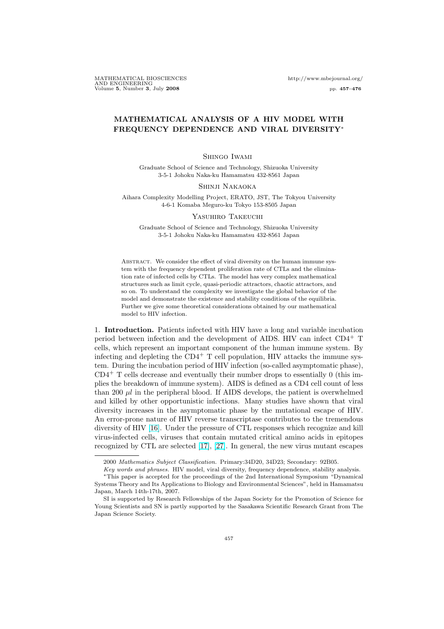MATHEMATICAL BIOSCIENCES http://www.mbejournal.org/ AND ENGINEERING Volume 5, Number 3, July 2008 pp. 457–476

## MATHEMATICAL ANALYSIS OF A HIV MODEL WITH FREQUENCY DEPENDENCE AND VIRAL DIVERSITY<sup>∗</sup>

#### Shingo Iwami

Graduate School of Science and Technology, Shizuoka University 3-5-1 Johoku Naka-ku Hamamatsu 432-8561 Japan

#### Shinji Nakaoka

Aihara Complexity Modelling Project, ERATO, JST, The Tokyou University 4-6-1 Komaba Meguro-ku Tokyo 153-8505 Japan

#### Yasuhiro Takeuchi

Graduate School of Science and Technology, Shizuoka University 3-5-1 Johoku Naka-ku Hamamatsu 432-8561 Japan

ABSTRACT. We consider the effect of viral diversity on the human immune system with the frequency dependent proliferation rate of CTLs and the elimination rate of infected cells by CTLs. The model has very complex mathematical structures such as limit cycle, quasi-periodic attractors, chaotic attractors, and so on. To understand the complexity we investigate the global behavior of the model and demonstrate the existence and stability conditions of the equilibria. Further we give some theoretical considerations obtained by our mathematical model to HIV infection.

1. Introduction. Patients infected with HIV have a long and variable incubation period between infection and the development of AIDS. HIV can infect CD4<sup>+</sup> T cells, which represent an important component of the human immune system. By infecting and depleting the  $CD4^+$  T cell population, HIV attacks the immune system. During the incubation period of HIV infection (so-called asymptomatic phase),  $CD4<sup>+</sup>$  T cells decrease and eventually their number drops to essentially 0 (this implies the breakdown of immune system). AIDS is defined as a CD4 cell count of less than 200  $\mu$ l in the peripheral blood. If AIDS develops, the patient is overwhelmed and killed by other opportunistic infections. Many studies have shown that viral diversity increases in the asymptomatic phase by the mutational escape of HIV. An error-prone nature of HIV reverse transcriptase contributes to the tremendous diversity of HIV [\[16\]](#page-18-0). Under the pressure of CTL responses which recognize and kill virus-infected cells, viruses that contain mutated critical amino acids in epitopes recognized by CTL are selected [\[17\]](#page-18-0), [\[27\]](#page-18-0). In general, the new virus mutant escapes

<sup>2000</sup> Mathematics Subject Classification. Primary:34D20, 34D23; Secondary: 92B05.

Key words and phrases. HIV model, viral diversity, frequency dependence, stability analysis. <sup>∗</sup>This paper is accepted for the proceedings of the 2nd International Symposium "Dynamical

Systems Theory and Its Applications to Biology and Environmental Sciences", held in Hamamatsu Japan, March 14th-17th, 2007.

SI is supported by Research Fellowships of the Japan Society for the Promotion of Science for Young Scientists and SN is partly supported by the Sasakawa Scientific Research Grant from The Japan Science Society.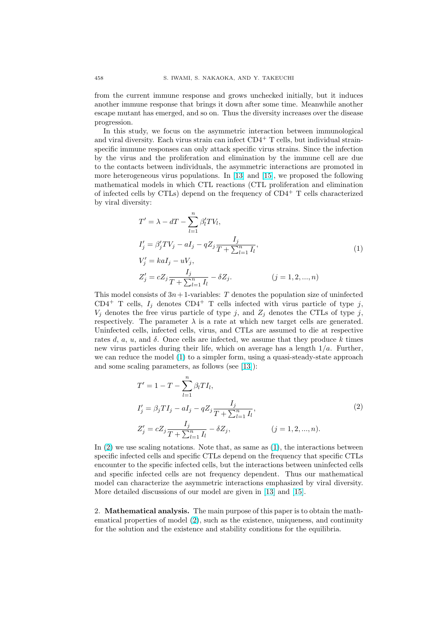from the current immune response and grows unchecked initially, but it induces another immune response that brings it down after some time. Meanwhile another escape mutant has emerged, and so on. Thus the diversity increases over the disease progression.

In this study, we focus on the asymmetric interaction between immunological and viral diversity. Each virus strain can infect  $CD4^+$  T cells, but individual strainspecific immune responses can only attack specific virus strains. Since the infection by the virus and the proliferation and elimination by the immune cell are due to the contacts between individuals, the asymmetric interactions are promoted in more heterogeneous virus populations. In [\[13\]](#page-18-0) and [\[15\]](#page-18-0), we proposed the following mathematical models in which CTL reactions (CTL proliferation and elimination of infected cells by CTLs) depend on the frequency of  $CD4^+$  T cells characterized by viral diversity:

$$
T' = \lambda - dT - \sum_{l=1}^{n} \beta'_l TV_l,
$$
  
\n
$$
I'_j = \beta'_j TV_j - aI_j - qZ_j \frac{I_j}{T + \sum_{l=1}^{n} I_l},
$$
  
\n
$$
V'_j = kaI_j - uV_j,
$$
  
\n
$$
Z'_j = cZ_j \frac{I_j}{T + \sum_{l=1}^{n} I_l} - \delta Z_j.
$$
\n
$$
(j = 1, 2, ..., n)
$$
\n(1)

This model consists of  $3n+1$ -variables: T denotes the population size of uninfected CD4<sup>+</sup> T cells,  $I_j$  denotes CD4<sup>+</sup> T cells infected with virus particle of type j,  $V_j$  denotes the free virus particle of type j, and  $Z_j$  denotes the CTLs of type j, respectively. The parameter  $\lambda$  is a rate at which new target cells are generated. Uninfected cells, infected cells, virus, and CTLs are assumed to die at respective rates d, a, u, and  $\delta$ . Once cells are infected, we assume that they produce k times new virus particles during their life, which on average has a length  $1/a$ . Further, we can reduce the model (1) to a simpler form, using a quasi-steady-state approach and some scaling parameters, as follows (see [\[13\]](#page-18-0)):

$$
T' = 1 - T - \sum_{l=1}^{n} \beta_l T I_l,
$$
  
\n
$$
I'_j = \beta_j T I_j - aI_j - qZ_j \frac{I_j}{T + \sum_{l=1}^{n} I_l},
$$
  
\n
$$
Z'_j = cZ_j \frac{I_j}{T + \sum_{l=1}^{n} I_l} - \delta Z_j,
$$
  
\n
$$
(j = 1, 2, ..., n).
$$
  
\n(2)

In (2) we use scaling notations. Note that, as same as (1), the interactions between specific infected cells and specific CTLs depend on the frequency that specific CTLs encounter to the specific infected cells, but the interactions between uninfected cells and specific infected cells are not frequency dependent. Thus our mathematical model can characterize the asymmetric interactions emphasized by viral diversity. More detailed discussions of our model are given in [\[13\]](#page-18-0) and [\[15\]](#page-18-0).

2. Mathematical analysis. The main purpose of this paper is to obtain the mathematical properties of model (2), such as the existence, uniqueness, and continuity for the solution and the existence and stability conditions for the equilibria.

<span id="page-1-0"></span>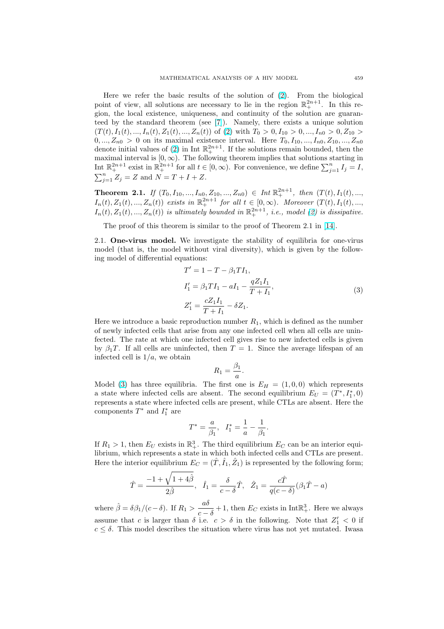<span id="page-2-0"></span>Here we refer the basic results of the solution of [\(2\)](#page-1-0). From the biological point of view, all solutions are necessary to lie in the region  $\mathbb{R}^{2n+1}_+$ . In this region, the local existence, uniqueness, and continuity of the solution are guaranteed by the standard theorem (see [\[7\]](#page-18-0)). Namely, there exists a unique solution  $(T(t), I_1(t), ..., I_n(t), Z_1(t), ..., Z_n(t))$  of [\(2\)](#page-1-0) with  $T_0 > 0, I_{10} > 0, ..., I_{n0} > 0, Z_{10} >$  $0, ..., Z_{n0} > 0$  on its maximal existence interval. Here  $T_0, I_{10}, ..., I_{n0}, Z_{10}, ..., Z_{n0}$ denote initial values of [\(2\)](#page-1-0) in Int  $\mathbb{R}^{2n+1}_+$ . If the solutions remain bounded, then the maximal interval is  $[0, \infty)$ . The following theorem implies that solutions starting in Interval is  $[0, \infty)$ . The following theorem implies that solutions starting in<br>
Int  $\mathbb{R}^{2n+1}$  exist in  $\mathbb{R}^{2n+1}$  for all  $t \in [0, \infty)$ . For convenience, we define  $\sum_{j=1}^{n} I_j = I$ ,  $\sum_{i=1}^{n} Z_j = Z$  and  $N = T + I + Z$ .

**Theorem 2.1.** If  $(T_0, I_{10},..., I_{n0}, Z_{10},..., Z_{n0}) \in Int \mathbb{R}^{2n+1}_+$ , then  $(T(t), I_1(t),...,$  $I_n(t), Z_1(t), ..., Z_n(t)$  exists in  $\mathbb{R}^{2n+1}$  for all  $t \in [0, \infty)$ . Moreover  $(T(t), I_1(t), ...,$  $I_n(t), Z_1(t),..., Z_n(t)$  is ultimately bounded in  $\mathbb{R}^{2n+1}_+$ , i.e., model [\(2\)](#page-1-0) is dissipative.

The proof of this theorem is similar to the proof of Theorem 2.1 in [\[14\]](#page-18-0).

2.1. One-virus model. We investigate the stability of equilibria for one-virus model (that is, the model without viral diversity), which is given by the following model of differential equations:

$$
T' = 1 - T - \beta_1 T I_1,
$$
  
\n
$$
I'_1 = \beta_1 T I_1 - aI_1 - \frac{q Z_1 I_1}{T + I_1},
$$
  
\n
$$
Z'_1 = \frac{c Z_1 I_1}{T + I_1} - \delta Z_1.
$$
\n(3)

Here we introduce a basic reproduction number  $R_1$ , which is defined as the number of newly infected cells that arise from any one infected cell when all cells are uninfected. The rate at which one infected cell gives rise to new infected cells is given by  $\beta_1$ . If all cells are uninfected, then  $T = 1$ . Since the average lifespan of an infected cell is  $1/a$ , we obtain

$$
R_1 = \frac{\beta_1}{a}.
$$

Model (3) has three equilibria. The first one is  $E_H = (1, 0, 0)$  which represents a state where infected cells are absent. The second equilibrium  $E_U = (T^*, I_1^*, 0)$ represents a state where infected cells are present, while CTLs are absent. Here the components  $T^*$  and  $I_1^*$  are

$$
T^* = \frac{a}{\beta_1}, \ \ I_1^* = \frac{1}{a} - \frac{1}{\beta_1}.
$$

If  $R_1 > 1$ , then  $E_U$  exists in  $\mathbb{R}^3_+$ . The third equilibrium  $E_C$  can be an interior equilibrium, which represents a state in which both infected cells and CTLs are present. Here the interior equilibrium  $E_C = (\hat{T}, \hat{I}_1, \hat{Z}_1)$  is represented by the following form;

$$
\hat{T} = \frac{-1 + \sqrt{1 + 4\hat{\beta}}}{2\hat{\beta}}, \quad \hat{I}_1 = \frac{\delta}{c - \delta}\hat{T}, \quad \hat{Z}_1 = \frac{c\hat{T}}{q(c - \delta)}(\beta_1\hat{T} - a)
$$

where  $\hat{\beta} = \delta \beta_1 / (c - \delta)$ . If  $R_1 > \frac{a \delta}{\sqrt{a^2 + \delta^2}}$  $\frac{uv}{c-\delta}+1$ , then  $E_C$  exists in Int $\mathbb{R}^3_+$ . Here we always assume that c is larger than  $\delta$  i.e.  $c > \delta$  in the following. Note that  $Z'_1 < 0$  if  $c \leq \delta$ . This model describes the situation where virus has not yet mutated. Iwasa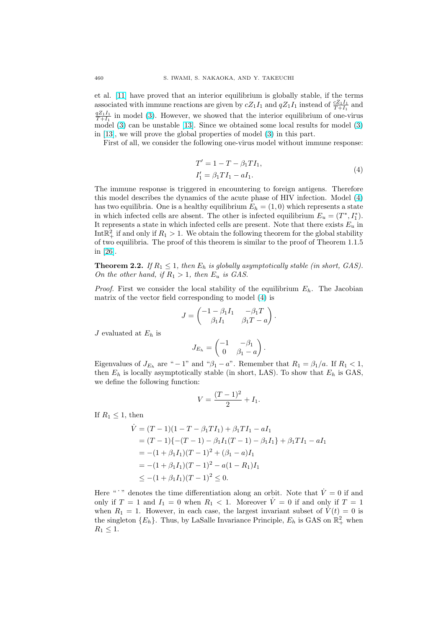<span id="page-3-0"></span>et al. [\[11\]](#page-18-0) have proved that an interior equilibrium is globally stable, if the terms associated with immune reactions are given by  $cZ_1I_1$  and  $qZ_1I_1$  instead of  $\frac{cZ_1I_1}{T+I_1}$  and  $\frac{qZ_1I_1}{T+I_1}$  in model [\(3\)](#page-2-0). However, we showed that the interior equilibrium of one-virus model [\(3\)](#page-2-0) can be unstable [\[13\]](#page-18-0). Since we obtained some local results for model [\(3\)](#page-2-0) in [\[13\]](#page-18-0), we will prove the global properties of model [\(3\)](#page-2-0) in this part.

First of all, we consider the following one-virus model without immune response:

$$
T' = 1 - T - \beta_1 T I_1,
$$
  
\n
$$
I'_1 = \beta_1 T I_1 - a I_1.
$$
\n(4)

The immune response is triggered in encountering to foreign antigens. Therefore this model describes the dynamics of the acute phase of HIV infection. Model (4) has two equilibria. One is a healthy equilibrium  $E_h = (1,0)$  which represents a state in which infected cells are absent. The other is infected equilibrium  $E_u = (T^*, I_1^*)$ . It represents a state in which infected cells are present. Note that there exists  $E_u$  in Int $\mathbb{R}^2_+$  if and only if  $R_1 > 1$ . We obtain the following theorem for the global stability of two equilibria. The proof of this theorem is similar to the proof of Theorem 1.1.5 in [\[26\]](#page-18-0).

**Theorem 2.2.** If  $R_1 \leq 1$ , then  $E_h$  is globally asymptotically stable (in short, GAS). On the other hand, if  $R_1 > 1$ , then  $E_u$  is GAS.

*Proof.* First we consider the local stability of the equilibrium  $E_h$ . The Jacobian matrix of the vector field corresponding to model (4) is

$$
J = \begin{pmatrix} -1 - \beta_1 I_1 & -\beta_1 T \\ \beta_1 I_1 & \beta_1 T - a \end{pmatrix}.
$$

J evaluated at  $E_h$  is

$$
J_{E_h} = \begin{pmatrix} -1 & -\beta_1 \\ 0 & \beta_1 - a \end{pmatrix}.
$$

Eigenvalues of  $J_{E_h}$  are " − 1" and " $\beta_1 - a$ ". Remember that  $R_1 = \beta_1/a$ . If  $R_1 < 1$ , then  $E_h$  is locally asymptotically stable (in short, LAS). To show that  $E_h$  is GAS, we define the following function:

$$
V = \frac{(T-1)^2}{2} + I_1.
$$

If  $R_1 \leq 1$ , then

$$
\dot{V} = (T - 1)(1 - T - \beta_1 T I_1) + \beta_1 T I_1 - aI_1
$$
  
=  $(T - 1)\{-(T - 1) - \beta_1 I_1(T - 1) - \beta_1 I_1\} + \beta_1 T I_1 - aI_1$   
=  $-(1 + \beta_1 I_1)(T - 1)^2 + (\beta_1 - a)I_1$   
=  $-(1 + \beta_1 I_1)(T - 1)^2 - a(1 - R_1)I_1$   
 $\leq -(1 + \beta_1 I_1)(T - 1)^2 \leq 0.$ 

Here " " denotes the time differentiation along an orbit. Note that  $\dot{V} = 0$  if and only if  $T = 1$  and  $I_1 = 0$  when  $R_1 < 1$ . Moreover  $\dot{V} = 0$  if and only if  $T = 1$ when  $R_1 = 1$ . However, in each case, the largest invariant subset of  $V(t) = 0$  is the singleton  $\{E_h\}$ . Thus, by LaSalle Invariance Principle,  $E_h$  is GAS on  $\mathbb{R}^2_+$  when  $R_1 \leq 1$ .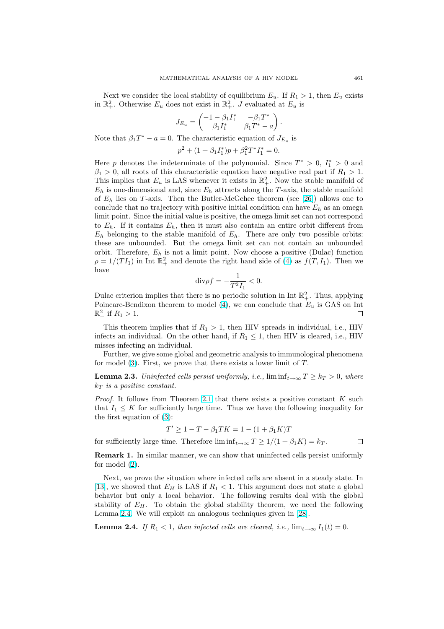<span id="page-4-0"></span>Next we consider the local stability of equilibrium  $E_u$ . If  $R_1 > 1$ , then  $E_u$  exists in  $\mathbb{R}^2_+$ . Otherwise  $E_u$  does not exist in  $\mathbb{R}^2_+$ . J evaluated at  $E_u$  is

$$
J_{E_u} = \begin{pmatrix} -1 - \beta_1 I_1^* & -\beta_1 T^* \\ \beta_1 I_1^* & \beta_1 T^* - a \end{pmatrix}.
$$

Note that  $\beta_1 T^* - a = 0$ . The characteristic equation of  $J_{E_u}$  is

$$
p^2 + (1 + \beta_1 I_1^*)p + \beta_1^2 T^* I_1^* = 0.
$$

Here p denotes the indeterminate of the polynomial. Since  $T^* > 0$ ,  $I_1^* > 0$  and  $\beta_1 > 0$ , all roots of this characteristic equation have negative real part if  $R_1 > 1$ . This implies that  $E_u$  is LAS whenever it exists in  $\mathbb{R}^2_+$ . Now the stable manifold of  $E_h$  is one-dimensional and, since  $E_h$  attracts along the T-axis, the stable manifold of  $E_h$  lies on T-axis. Then the Butler-McGehee theorem (see [\[26\]](#page-18-0)) allows one to conclude that no trajectory with positive initial condition can have  $E_h$  as an omega limit point. Since the initial value is positive, the omega limit set can not correspond to  $E_h$ . If it contains  $E_h$ , then it must also contain an entire orbit different from  $E_h$  belonging to the stable manifold of  $E_h$ . There are only two possible orbits: these are unbounded. But the omega limit set can not contain an unbounded orbit. Therefore,  $E_h$  is not a limit point. Now choose a positive (Dulac) function  $\rho = 1/(TI_1)$  in Int  $\mathbb{R}^2_+$  and denote the right hand side of [\(4\)](#page-3-0) as  $f(T, I_1)$ . Then we have

$$
\mathrm{div}\rho f=-\frac{1}{T^2I_1}<0.
$$

Dulac criterion implies that there is no periodic solution in Int  $\mathbb{R}^2_+$ . Thus, applying Poincare-Bendixon theorem to model [\(4\)](#page-3-0), we can conclude that  $E_u$  is GAS on Int  $\mathbb{R}^2_+$  if  $R_1 > 1$ . □

This theorem implies that if  $R_1 > 1$ , then HIV spreads in individual, i.e., HIV infects an individual. On the other hand, if  $R_1 \leq 1$ , then HIV is cleared, i.e., HIV misses infecting an individual.

Further, we give some global and geometric analysis to immunological phenomena for model  $(3)$ . First, we prove that there exists a lower limit of  $T$ .

**Lemma 2.3.** Uninfected cells persist uniformly, i.e.,  $\liminf_{t\to\infty} T \geq k_T > 0$ , where  $k_T$  is a positive constant.

*Proof.* It follows from Theorem [2.1](#page-2-0) that there exists a positive constant  $K$  such that  $I_1 \leq K$  for sufficiently large time. Thus we have the following inequality for the first equation of [\(3\)](#page-2-0):

$$
T' \ge 1 - T - \beta_1 TK = 1 - (1 + \beta_1 K)T
$$

for sufficiently large time. Therefore  $\liminf_{t\to\infty} T \geq 1/(1+\beta_1 K) = k_T$ .

 $\Box$ 

Remark 1. In similar manner, we can show that uninfected cells persist uniformly for model [\(2\)](#page-1-0).

Next, we prove the situation where infected cells are absent in a steady state. In [\[13\]](#page-18-0), we showed that  $E_H$  is LAS if  $R_1 < 1$ . This argument does not state a global behavior but only a local behavior. The following results deal with the global stability of  $E_H$ . To obtain the global stability theorem, we need the following Lemma 2.4. We will exploit an analogous techniques given in [\[28\]](#page-19-0).

**Lemma 2.4.** If  $R_1 < 1$ , then infected cells are cleared, i.e.,  $\lim_{t\to\infty} I_1(t) = 0$ .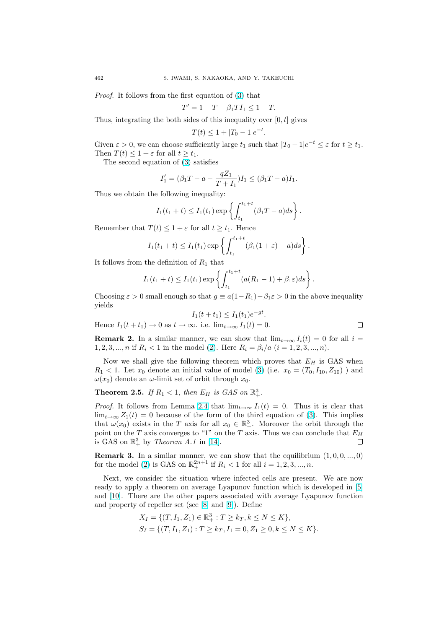Proof. It follows from the first equation of [\(3\)](#page-2-0) that

$$
T' = 1 - T - \beta_1 T I_1 \le 1 - T.
$$

Thus, integrating the both sides of this inequality over  $[0, t]$  gives

$$
T(t) \le 1 + |T_0 - 1|e^{-t}
$$

.

Given  $\varepsilon > 0$ , we can choose sufficiently large  $t_1$  such that  $|T_0 - 1|e^{-t} \leq \varepsilon$  for  $t \geq t_1$ . Then  $T(t) \leq 1 + \varepsilon$  for all  $t \geq t_1$ .

The second equation of [\(3\)](#page-2-0) satisfies

$$
I_1' = (\beta_1 T - a - \frac{qZ_1}{T + I_1}) I_1 \leq (\beta_1 T - a) I_1.
$$

Thus we obtain the following inequality:

$$
I_1(t_1 + t) \leq I_1(t_1) \exp \left\{ \int_{t_1}^{t_1 + t} (\beta_1 T - a) ds \right\}.
$$

Remember that  $T(t) \leq 1 + \varepsilon$  for all  $t \geq t_1$ . Hence

$$
I_1(t_1+t) \leq I_1(t_1) \exp\left\{ \int_{t_1}^{t_1+t} (\beta_1(1+\varepsilon)-a)ds \right\}.
$$

It follows from the definition of  $R_1$  that

$$
I_1(t_1+t) \leq I_1(t_1) \exp\left\{ \int_{t_1}^{t_1+t} (a(R_1-1) + \beta_1 \varepsilon) ds \right\}
$$

Choosing  $\varepsilon > 0$  small enough so that  $g \equiv a(1-R_1)-\beta_1\varepsilon > 0$  in the above inequality yields

Hence 
$$
I_1(t + t_1) \to 0
$$
 as  $t \to \infty$ . i.e.  $\lim_{t \to \infty} I_1(t) = 0$ .

.

**Remark 2.** In a similar manner, we can show that  $\lim_{t\to\infty} I_i(t) = 0$  for all  $i =$ 1, 2, 3, ..., n if  $R_i$  < 1 in the model [\(2\)](#page-1-0). Here  $R_i = \beta_i/a$  (i = 1, 2, 3, ..., n).

Now we shall give the following theorem which proves that  $E_H$  is GAS when  $R_1$  < 1. Let  $x_0$  denote an initial value of model [\(3\)](#page-2-0) (i.e.  $x_0 = (T_0, I_{10}, Z_{10})$ ) and  $\omega(x_0)$  denote an  $\omega$ -limit set of orbit through  $x_0$ .

# **Theorem 2.5.** If  $R_1 < 1$ , then  $E_H$  is  $GAS$  on  $\mathbb{R}^3_+$ .

*Proof.* It follows from Lemma [2](#page-4-0).4 that  $\lim_{t\to\infty} I_1(t) = 0$ . Thus it is clear that  $\lim_{t\to\infty} Z_1(t) = 0$  because of the form of the third equation of [\(3\)](#page-2-0). This implies that  $\omega(x_0)$  exists in the T axis for all  $x_0 \in \mathbb{R}^3_+$ . Moreover the orbit through the point on the T axis converges to "1" on the T axis. Thus we can conclude that  $E_H$ is GAS on  $\mathbb{R}^3_+$  by Theorem A.1 in [\[14\]](#page-18-0).  $\Box$ 

**Remark 3.** In a similar manner, we can show that the equilibrium  $(1, 0, 0, ..., 0)$ for the model [\(2\)](#page-1-0) is GAS on  $\mathbb{R}^{2n+1}_+$  if  $R_i < 1$  for all  $i = 1, 2, 3, ..., n$ .

Next, we consider the situation where infected cells are present. We are now ready to apply a theorem on average Lyapunov function which is developed in [\[5\]](#page-18-0) and [\[10\]](#page-18-0). There are the other papers associated with average Lyapunov function and property of repeller set (see [\[8\]](#page-18-0) and [\[9\]](#page-18-0)). Define

$$
X_I = \{ (T, I_1, Z_1) \in \mathbb{R}_+^3 : T \ge k_T, k \le N \le K \},
$$
  
\n
$$
S_I = \{ (T, I_1, Z_1) : T \ge k_T, I_1 = 0, Z_1 \ge 0, k \le N \le K \}.
$$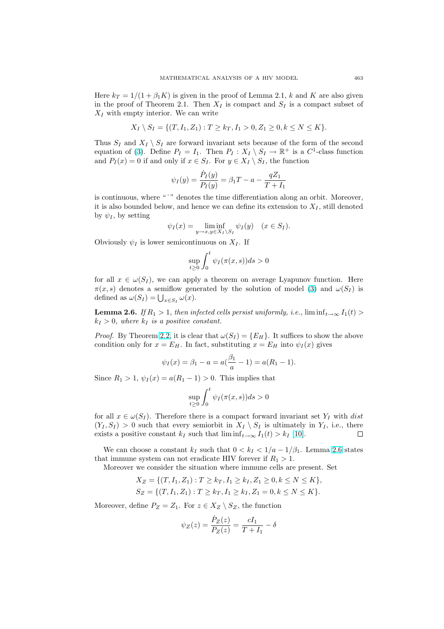<span id="page-6-0"></span>Here  $k_T = 1/(1 + \beta_1 K)$  is given in the proof of Lemma 2.1, k and K are also given in the proof of Theorem 2.1. Then  $X_I$  is compact and  $S_I$  is a compact subset of  $X_I$  with empty interior. We can write

$$
X_I \setminus S_I = \{ (T, I_1, Z_1) : T \ge k_T, I_1 > 0, Z_1 \ge 0, k \le N \le K \}.
$$

Thus  $S_I$  and  $X_I \setminus S_I$  are forward invariant sets because of the form of the second equation of [\(3\)](#page-2-0). Define  $P_I = I_1$ . Then  $P_I : X_I \setminus S_I \to \mathbb{R}^+$  is a  $C^1$ -class function and  $P_I(x) = 0$  if and only if  $x \in S_I$ . For  $y \in X_I \setminus S_I$ , the function

$$
\psi_I(y) = \frac{\dot{P}_I(y)}{P_I(y)} = \beta_1 T - a - \frac{qZ_1}{T + I_1}
$$

is continuous, where "'" denotes the time differentiation along an orbit. Moreover, it is also bounded below, and hence we can define its extension to  $X_I$ , still denoted by  $\psi_I$ , by setting

$$
\psi_I(x) = \liminf_{y \to x, y \in X_I \setminus S_I} \psi_I(y) \quad (x \in S_I).
$$

Obviously  $\psi_I$  is lower semicontinuous on  $X_I$ . If

$$
\sup_{t\geq 0}\int_0^t\psi_I(\pi(x,s))ds>0
$$

for all  $x \in \omega(S_I)$ , we can apply a theorem on average Lyapunov function. Here  $\pi(x, s)$  denotes a semiflow generated by the solution of model [\(3\)](#page-2-0) and  $\omega(S_I)$  is  $\pi(x, s)$  denotes a seminow gen<br>defined as  $\omega(S_I) = \bigcup_{x \in S_I} \omega(x)$ .

**Lemma 2.6.** If  $R_1 > 1$ , then infected cells persist uniformly, i.e.,  $\liminf_{t\to\infty} I_1(t)$  $k_I > 0$ , where  $k_I$  is a positive constant.

*Proof.* By Theorem [2.2,](#page-3-0) it is clear that  $\omega(S_I) = \{E_H\}$ . It suffices to show the above condition only for  $x = E_H$ . In fact, substituting  $x = E_H$  into  $\psi_I(x)$  gives

$$
\psi_I(x) = \beta_1 - a = a\left(\frac{\beta_1}{a} - 1\right) = a(R_1 - 1).
$$

Since  $R_1 > 1$ ,  $\psi_I(x) = a(R_1 - 1) > 0$ . This implies that

$$
\sup_{t\geq 0}\int_0^t \psi_I(\pi(x,s))ds>0
$$

for all  $x \in \omega(S_I)$ . Therefore there is a compact forward invariant set  $Y_I$  with dist  $(Y_I, S_I) > 0$  such that every semiorbit in  $X_I \setminus S_I$  is ultimately in  $Y_I$ , i.e., there exists a positive constant  $k_I$  such that  $\liminf_{t\to\infty} I_1(t) > k_I$  [\[10\]](#page-18-0).  $\Box$ 

We can choose a constant  $k_I$  such that  $0 < k_I < 1/a - 1/\beta_1$ . Lemma 2.6 states that immune system can not eradicate HIV forever if  $R_1 > 1$ .

Moreover we consider the situation where immune cells are present. Set

$$
X_Z = \{(T, I_1, Z_1) : T \ge k_T, I_1 \ge k_I, Z_1 \ge 0, k \le N \le K\},
$$
  
\n
$$
S_Z = \{(T, I_1, Z_1) : T \ge k_T, I_1 \ge k_I, Z_1 = 0, k \le N \le K\}.
$$

Moreover, define  $P_Z = Z_1$ . For  $z \in X_Z \setminus S_Z$ , the function

$$
\psi_Z(z)=\frac{\dot{P}_Z(z)}{P_Z(z)}=\frac{cI_1}{T+I_1}-\delta
$$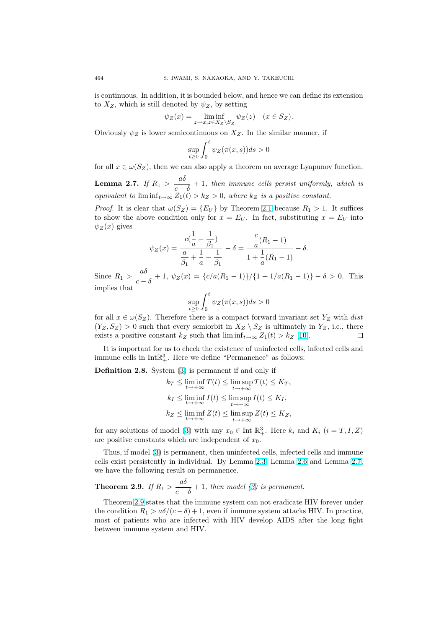is continuous. In addition, it is bounded below, and hence we can define its extension to  $X_Z$ , which is still denoted by  $\psi_Z$ , by setting

$$
\psi_Z(x) = \liminf_{z \to x, z \in X_Z \setminus S_Z} \psi_Z(z) \quad (x \in S_Z).
$$

Obviously  $\psi_Z$  is lower semicontinuous on  $X_Z$ . In the similar manner, if

$$
\sup_{t\geq 0} \int_0^t \psi_Z(\pi(x,s))ds > 0
$$

for all  $x \in \omega(S_Z)$ , then we can also apply a theorem on average Lyapunov function.

Lemma 2.7. If  $R_1 > \frac{a\delta}{a}$  $\frac{dS}{d\epsilon - \delta}$  + 1, then immune cells persist uniformly, which is equivalent to  $\liminf_{t\to\infty} Z_1(t) > k_Z > 0$ , where  $k_Z$  is a positive constant.

*Proof.* It is clear that  $\omega(S_Z) = \{E_U\}$  by Theorem [2.1](#page-2-0) because  $R_1 > 1$ . It suffices to show the above condition only for  $x = E_U$ . In fact, substituting  $x = E_U$  into  $\psi_Z(x)$  gives

$$
\psi_Z(x) = \frac{c(\frac{1}{a} - \frac{1}{\beta_1})}{\frac{a}{\beta_1} + \frac{1}{a} - \frac{1}{\beta_1}} - \delta = \frac{\frac{c}{a}(R_1 - 1)}{1 + \frac{1}{a}(R_1 - 1)} - \delta.
$$

Since  $R_1 > \frac{a\delta}{a}$  $\frac{dS}{c-\delta}+1$ ,  $\psi_Z(x) = \frac{c}{a(R_1-1)}\frac{1}{1+1/a(R_1-1)} - \delta > 0$ . This implies that

$$
\sup_{t\geq 0}\int_0^t\psi_Z(\pi(x,s))ds>0
$$

for all  $x \in \omega(S_Z)$ . Therefore there is a compact forward invariant set  $Y_Z$  with dist  $(Y_Z, S_Z) > 0$  such that every semiorbit in  $X_Z \setminus S_Z$  is ultimately in  $Y_Z$ , i.e., there exists a positive constant  $k_Z$  such that  $\liminf_{t\to\infty} Z_1(t) > k_Z$  [\[10\]](#page-18-0).  $\Box$ 

It is important for us to check the existence of uninfected cells, infected cells and immune cells in  $Int \mathbb{R}^3_+$ . Here we define "Permanence" as follows:

Definition 2.8. System [\(3\)](#page-2-0) is permanent if and only if

$$
k_T \leq \liminf_{t \to +\infty} T(t) \leq \limsup_{t \to +\infty} T(t) \leq K_T,
$$
  
\n
$$
k_I \leq \liminf_{t \to +\infty} I(t) \leq \limsup_{t \to +\infty} I(t) \leq K_I,
$$
  
\n
$$
k_Z \leq \liminf_{t \to +\infty} Z(t) \leq \limsup_{t \to +\infty} Z(t) \leq K_Z,
$$

for any solutions of model [\(3\)](#page-2-0) with any  $x_0 \in \text{Int } \mathbb{R}^3_+$ . Here  $k_i$  and  $K_i$   $(i = T, I, Z)$ are positive constants which are independent of  $x_0$ .

Thus, if model [\(3\)](#page-2-0) is permanent, then uninfected cells, infected cells and immune cells exist persistently in individual. By Lemma [2.3,](#page-4-0) Lemma [2.6](#page-6-0) and Lemma 2.7, we have the following result on permanence.

## Theorem 2.9. If  $R_1 > \frac{a\delta}{a}$  $\frac{dS}{c-\delta}+1$ , then model [\(3\)](#page-2-0) is permanent.

Theorem 2.9 states that the immune system can not eradicate HIV forever under the condition  $R_1 > a\delta/(c-\delta) + 1$ , even if immune system attacks HIV. In practice, most of patients who are infected with HIV develop AIDS after the long fight between immune system and HIV.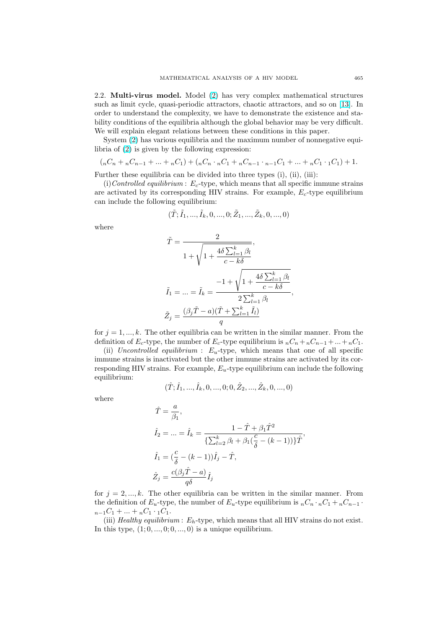2.2. Multi-virus model. Model [\(2\)](#page-1-0) has very complex mathematical structures such as limit cycle, quasi-periodic attractors, chaotic attractors, and so on [\[13\]](#page-18-0). In order to understand the complexity, we have to demonstrate the existence and stability conditions of the equilibria although the global behavior may be very difficult. We will explain elegant relations between these conditions in this paper.

System [\(2\)](#page-1-0) has various equilibria and the maximum number of nonnegative equilibria of [\(2\)](#page-1-0) is given by the following expression:

$$
(nC_n + nC_{n-1} + \dots + nC_1) + (nC_n \cdot nC_1 + nC_{n-1} \cdot nC_1 + \dots + nC_1 \cdot 1C_1) + 1.
$$

Further these equilibria can be divided into three types (i), (ii), (iii):

(i) Controlled equilibrium :  $E_c$ -type, which means that all specific immune strains are activated by its corresponding HIV strains. For example,  $E_c$ -type equilibrium can include the following equilibrium:

$$
(\tilde{T}; \tilde{I}_1, ..., \tilde{I}_k, 0, ..., 0; \tilde{Z}_1, ..., \tilde{Z}_k, 0, ..., 0)
$$

where

$$
\tilde{T} = \frac{2}{1 + \sqrt{1 + \frac{4\delta \sum_{l=1}^{k} \beta_l}{c - k\delta}}},
$$
\n
$$
\tilde{I}_1 = \dots = \tilde{I}_k = \frac{-1 + \sqrt{1 + \frac{4\delta \sum_{l=1}^{k} \beta_l}{c - k\delta}}}{2 \sum_{l=1}^{k} \beta_l},
$$
\n
$$
\tilde{Z}_j = \frac{(\beta_j \tilde{T} - a)(\tilde{T} + \sum_{l=1}^{k} \tilde{I}_l)}{q}
$$

for  $j = 1, \ldots, k$ . The other equilibria can be written in the similar manner. From the definition of  $E_c$ -type, the number of  $E_c$ -type equilibrium is  $nC_n + nC_{n-1} + ... + nC_1$ .

(ii) Uncontrolled equilibrium :  $E_u$ -type, which means that one of all specific immune strains is inactivated but the other immune strains are activated by its corresponding HIV strains. For example,  $E_u$ -type equilibrium can include the following equilibrium:

$$
(\hat{T}; \hat{I}_1,...,\hat{I}_k,0,...,0;0,\hat{Z}_2,...,\hat{Z}_k,0,...,0)
$$

where

$$
\begin{aligned} \hat{T} &= \frac{a}{\beta_1}, \\ \hat{I}_2 &= \ldots = \hat{I}_k = \frac{1-\hat{T}+\beta_1 \hat{T}^2}{\{\sum_{l=2}^k \beta_l + \beta_1 (\frac{c}{\delta}-(k-1))\} \hat{T}}, \\ \hat{I}_1 &= (\frac{c}{\delta}-(k-1)) \hat{I}_j - \hat{T}, \\ \hat{Z}_j &= \frac{c(\beta_j \hat{T}-a)}{q\delta} \hat{I}_j \end{aligned}
$$

for  $j = 2, ..., k$ . The other equilibria can be written in the similar manner. From the definition of  $E_u$ -type, the number of  $E_u$ -type equilibrium is  $nC_n \cdot nC_1 + nC_{n-1} \cdot$  $n_{-1}C_1 + ... + n_{n}C_1 \cdot {}_1C_1$ .

(iii) Healthy equilibrium :  $E_h$ -type, which means that all HIV strains do not exist. In this type,  $(1; 0, \ldots, 0; 0, \ldots, 0)$  is a unique equilibrium.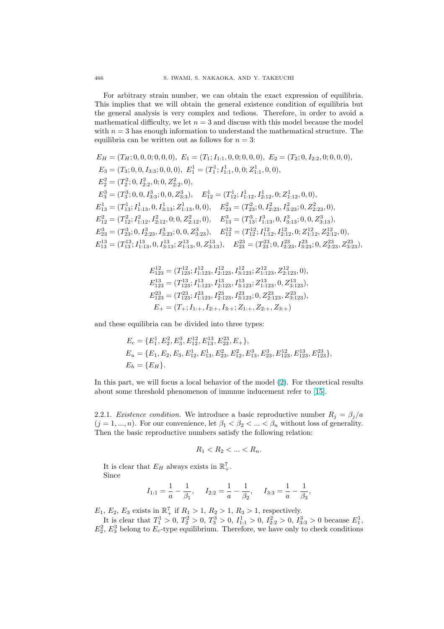For arbitrary strain number, we can obtain the exact expression of equilibria. This implies that we will obtain the general existence condition of equilibria but the general analysis is very complex and tedious. Therefore, in order to avoid a mathematical difficulty, we let  $n = 3$  and discuss with this model because the model with  $n = 3$  has enough information to understand the mathematical structure. The equilibria can be written out as follows for  $n = 3$ :

$$
E_H = (T_H; 0, 0, 0, 0, 0, 0), E_1 = (T_1; I_{1:1}, 0, 0, 0, 0, 0), E_2 = (T_2; 0, I_{2:2}, 0, 0, 0, 0),
$$
  
\n
$$
E_3 = (T_3; 0, 0, I_{3:3}; 0, 0, 0), E_1^1 = (T_1^1; I_{1:1}^1, 0, 0; Z_{1:1}^1, 0, 0),
$$
  
\n
$$
E_2^2 = (T_2^2; 0, I_{2:2}^2, 0; 0, Z_{2:2}^2, 0),
$$
  
\n
$$
E_3^3 = (T_3^3; 0, 0, I_{3:3}^3; 0, 0, Z_{3:3}^3), E_{12}^1 = (T_{12}^1; I_{1:12}^1, I_{2:12}^1, 0; Z_{1:12}^1, 0, 0),
$$
  
\n
$$
E_{13}^1 = (T_{13}^1; I_{1:13}^1, 0, I_{3:13}^1; Z_{1:13}^1, 0, 0), E_{23}^2 = (T_{23}^2; 0, I_{2:23}^2, I_{3:23}^2; 0, Z_{2:23}^2, 0),
$$
  
\n
$$
E_{12}^2 = (T_{12}^2; I_{1:12}^2, I_{2:12}^2, 0; 0, Z_{2:12}^2, 0), E_{13}^3 = (T_{13}^3; I_{1:13}^3, 0, I_{3:13}^3; 0, 0, Z_{3:13}^3),
$$
  
\n
$$
E_{23}^3 = (T_{23}^3; 0, I_{2:23}^3, I_{3:23}^3; 0, 0, Z_{3:23}^3), E_{12}^1 = (T_{12}^1; I_{1:12}^1, I_{2:12}^1, 0; Z_{1:12}^1, Z_{2:12}^1, 0),
$$
  
\n
$$
E_{13}^1 = (T_{13}^1; I_{1:13}^1, 0, I_{
$$

$$
\begin{aligned} E^{12}_{123} &= (T^{12}_{123}; I^{12}_{1:123}, I^{12}_{2:123}, I^{12}_{3:123}; Z^{12}_{1:123}, Z^{12}_{2:123}, 0), \\ E^{13}_{123} &= (T^{13}_{123}; I^{13}_{1:123}, I^{13}_{2:123}, I^{13}_{3:123}; Z^{13}_{1:123}, 0, Z^{13}_{3:123}), \\ E^{23}_{123} &= (T^{23}_{123}; I^{23}_{1:123}, I^{23}_{2:123}, I^{23}_{3:123}; 0, Z^{23}_{2:123}, Z^{23}_{3:123}), \\ E_{+} &= (T_{+}; I_{1:+}, I_{2:+}, I_{3:+}; Z_{1:+}, Z_{2:+}, Z_{3:+}) \end{aligned}
$$

and these equilibria can be divided into three types:

$$
E_c = \{E_1^1, E_2^2, E_3^3, E_{12}^{12}, E_{13}^{13}, E_{23}^{23}, E_+\},
$$
  
\n
$$
E_u = \{E_1, E_2, E_3, E_{12}^1, E_{13}^1, E_{23}^2, E_{12}^2, E_{13}^3, E_{23}^3, E_{123}^{12}, E_{123}^{13}, E_{123}^{23}\},
$$
  
\n
$$
E_h = \{E_H\}.
$$

In this part, we will focus a local behavior of the model [\(2\)](#page-1-0). For theoretical results about some threshold phenomenon of immnue inducement refer to [\[15\]](#page-18-0).

2.2.1. Existence condition. We introduce a basic reproductive number  $R_j = \beta_j/a$  $(j = 1, ..., n)$ . For our convenience, let  $\beta_1 < \beta_2 < ... < \beta_n$  without loss of generality. Then the basic reproductive numbers satisfy the following relation:

$$
R_1 < R_2 < \ldots < R_n.
$$

It is clear that  $E_H$  always exists in  $\mathbb{R}^7_+$ . Since

$$
I_{1:1} = \frac{1}{a} - \frac{1}{\beta_1}, \quad I_{2:2} = \frac{1}{a} - \frac{1}{\beta_2}, \quad I_{3:3} = \frac{1}{a} - \frac{1}{\beta_3},
$$

 $E_1, E_2, E_3$  exists in  $\mathbb{R}_+^7$  if  $R_1 > 1, R_2 > 1, R_3 > 1$ , respectively.

It is clear that  $T_1^1 > 0$ ,  $T_2^2 > 0$ ,  $T_3^3 > 0$ ,  $I_{1:1}^1 > 0$ ,  $I_{2:2}^2 > 0$ ,  $I_{3:3}^3 > 0$  because  $E_1^1$ ,  $E_2^2$ ,  $E_3^3$  belong to  $E_c$ -type equilibrium. Therefore, we have only to check conditions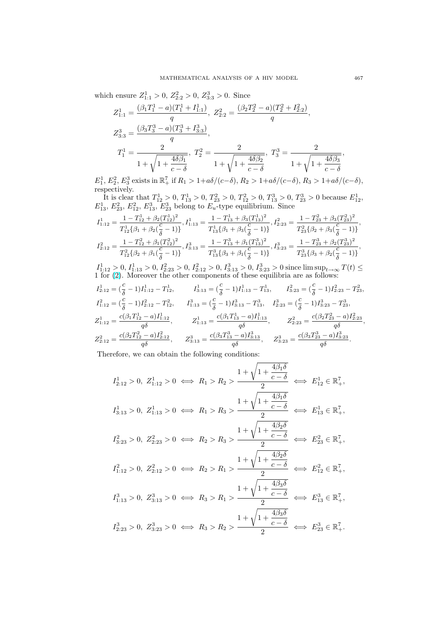which ensure  $Z_{1:1}^1 > 0$ ,  $Z_{2:2}^2 > 0$ ,  $Z_{3:3}^3 > 0$ . Since

$$
Z_{1:1}^1 = \frac{(\beta_1 T_1^1 - a)(T_1^1 + I_{1:1}^1)}{q}, \ Z_{2:2}^2 = \frac{(\beta_2 T_2^2 - a)(T_2^2 + I_{2:2}^2)}{q},
$$
  

$$
Z_{3:3}^3 = \frac{(\beta_3 T_3^3 - a)(T_3^3 + I_{3:3}^3)}{q},
$$
  

$$
T_1^1 = \frac{2}{1 + \sqrt{1 + \frac{4\delta\beta_1}{c - \delta}}}, \ T_2^2 = \frac{2}{1 + \sqrt{1 + \frac{4\delta\beta_2}{c - \delta}}}, \ T_3^3 = \frac{2}{1 + \sqrt{1 + \frac{4\delta\beta_3}{c - \delta}}}
$$

 $E_1^1, E_2^2, E_3^3$  exists in  $\mathbb{R}_+^7$  if  $R_1 > 1 + a\delta/(c-\delta), R_2 > 1 + a\delta/(c-\delta), R_3 > 1 + a\delta/(c-\delta)$ , respectively.

It is clear that  $T_{12}^1 > 0$ ,  $T_{13}^1 > 0$ ,  $T_{23}^2 > 0$ ,  $T_{12}^2 > 0$ ,  $T_{13}^3 > 0$ ,  $T_{23}^3 > 0$  because  $E_{12}^1$ ,  $E_{13}^1, E_{23}^2, E_{12}^2, E_{13}^3, E_{23}^3$  belong to  $E_u$ -type equilibrium. Since

$$
\begin{aligned} I_{1:12}^{1} &= \frac{1 - T_{12}^{1} + \beta_{2} (T_{12}^{1})^{2}}{T_{12}^{1} \{ \beta_{1} + \beta_{2} (\frac{c}{\delta} - 1) \} }, I_{1:13}^{1} = \frac{1 - T_{13}^{1} + \beta_{3} (T_{13}^{1})^{2}}{T_{13}^{1} \{ \beta_{1} + \beta_{3} (\frac{c}{\delta} - 1) \} }, I_{2:23}^{2} = \frac{1 - T_{23}^{2} + \beta_{3} (T_{23}^{2})^{2}}{T_{23}^{2} \{ \beta_{2} + \beta_{3} (\frac{c}{\delta} - 1) \} }, \\ I_{2:12}^{2} &= \frac{1 - T_{12}^{2} + \beta_{1} (T_{12}^{2})^{2}}{T_{12}^{2} \{ \beta_{2} + \beta_{1} (\frac{c}{\delta} - 1) \} }, I_{3:13}^{3} = \frac{1 - T_{13}^{3} + \beta_{1} (T_{13}^{3})^{2}}{T_{13}^{3} \{ \beta_{3} + \beta_{1} (\frac{c}{\delta} - 1) \} }, I_{3:23}^{3} = \frac{1 - T_{23}^{3} + \beta_{2} (T_{23}^{3})^{2}}{T_{23}^{3} \{ \beta_{3} + \beta_{2} (\frac{c}{\delta} - 1) \} }, \end{aligned}
$$

 $I_{1:12}^1 > 0, I_{1:13}^1 > 0, I_{2:23}^2 > 0, I_{2:12}^2 > 0, I_{3:13}^3 > 0, I_{3:23}^3 > 0$  since  $\limsup_{t \to \infty} T(t) \le$ 1 for [\(2\)](#page-1-0). Moreover the other components of these equilibria are as follows:

$$
\begin{aligned} &I_{2:12}^1 = \bigl(\frac{c}{\delta}-1\bigr)I_{1:12}^1 - T_{12}^1, \qquad I_{3:13}^1 = \bigl(\frac{c}{\delta}-1\bigr)I_{1:13}^1 - T_{13}^1, \qquad I_{3:23}^2 = \bigl(\frac{c}{\delta}-1\bigr)I_{2:23}^2 - T_{23}^2, \\ &I_{1:12}^2 = \bigl(\frac{c}{\delta}-1\bigr)I_{2:12}^2 - T_{12}^2, \qquad I_{1:13}^3 = \bigl(\frac{c}{\delta}-1\bigr)I_{3:13}^3 - T_{13}^3, \qquad I_{2:23}^3 = \bigl(\frac{c}{\delta}-1\bigr)I_{3:23}^3 - T_{23}^3, \\ &Z_{1:12}^1 = \frac{c(\beta_1T_{12}^1 - a)I_{1:12}^1}{q\delta}, \qquad Z_{1:13}^1 = \frac{c(\beta_1T_{13}^1 - a)I_{1:13}^1}{q\delta}, \qquad Z_{2:23}^2 = \frac{c(\beta_2T_{23}^2 - a)I_{2:23}^2}{q\delta}, \\ &Z_{2:12}^2 = \frac{c(\beta_2T_{12}^2 - a)I_{2:12}^2}{q\delta}, \qquad Z_{3:13}^3 = \frac{c(\beta_3T_{13}^3 - a)I_{3:13}^3}{q\delta}, \qquad Z_{3:23}^3 = \frac{c(\beta_3T_{23}^3 - a)I_{3:23}^3}{q\delta}. \end{aligned}
$$

Therefore, we can obtain the following conditions:

$$
I_{2:12}^1 > 0, \ Z_{1:12}^1 > 0 \iff R_1 > R_2 > \frac{1 + \sqrt{1 + \frac{4\beta_1 \delta}{c - \delta}}}{2} \iff E_{12}^1 \in \mathbb{R}_+^7,
$$
  

$$
I_{3:13}^1 > 0, \ Z_{1:13}^1 > 0 \iff R_1 > R_3 > \frac{1 + \sqrt{1 + \frac{4\beta_1 \delta}{c - \delta}}}{2} \iff E_{13}^1 \in \mathbb{R}_+^7,
$$
  

$$
I_{3:23}^2 > 0, \ Z_{2:23}^2 > 0 \iff R_2 > R_3 > \frac{1 + \sqrt{1 + \frac{4\beta_2 \delta}{c - \delta}}}{2} \iff E_{23}^2 \in \mathbb{R}_+^7,
$$
  

$$
I_{1:12}^2 > 0, \ Z_{2:12}^2 > 0 \iff R_2 > R_1 > \frac{1 + \sqrt{1 + \frac{4\beta_2 \delta}{c - \delta}}}{2} \iff E_{12}^2 \in \mathbb{R}_+^7,
$$
  

$$
I_{1:13}^3 > 0, \ Z_{3:13}^3 > 0 \iff R_3 > R_1 > \frac{1 + \sqrt{1 + \frac{4\beta_3 \delta}{c - \delta}}}{2} \iff E_{13}^3 \in \mathbb{R}_+^7,
$$
  

$$
I_{2:23}^3 > 0, \ Z_{3:23}^3 > 0 \iff R_3 > R_2 > \frac{1 + \sqrt{1 + \frac{4\beta_3 \delta}{c - \delta}}}{2} \iff E_{23}^3 \in \mathbb{R}_+^7,
$$

,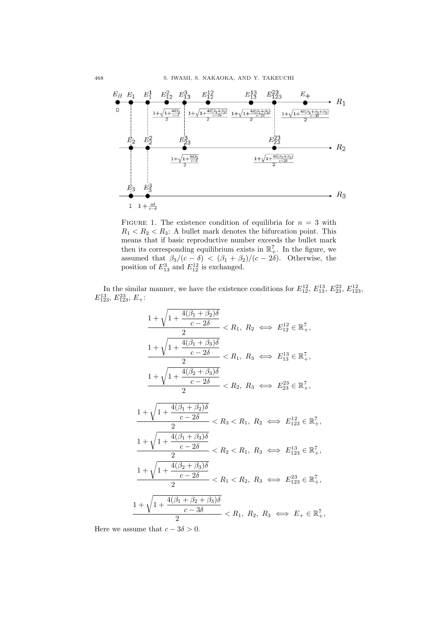<span id="page-11-0"></span>

FIGURE 1. The existence condition of equilibria for  $n = 3$  with  $R_1 < R_2 < R_3$ : A bullet mark denotes the bifurcation point. This means that if basic reproductive number exceeds the bullet mark then its corresponding equilibrium exists in  $\mathbb{R}^7_+$ . In the figure, we assumed that  $\beta_3/(c - \delta) < (\beta_1 + \beta_2)/(c - 2\delta)$ . Otherwise, the position of  $E_{13}^3$  and  $E_{12}^{12}$  is exchanged.

In the similar manner, we have the existence conditions for  $E_{12}^{12}$ ,  $E_{13}^{13}$ ,  $E_{23}^{23}$ ,  $E_{123}^{12}$ ,  $E_{123}^{13}, E_{123}^{23}, E_{+}$ 

$$
\frac{1 + \sqrt{1 + \frac{4(\beta_1 + \beta_2)\delta}{c - 2\delta}}}{2} < R_1, R_2 \iff E_{12}^{12} \in \mathbb{R}_+^7,
$$
\n
$$
\frac{1 + \sqrt{1 + \frac{4(\beta_1 + \beta_3)\delta}{c - 2\delta}}}{2} < R_1, R_3 \iff E_{13}^{13} \in \mathbb{R}_+^7,
$$
\n
$$
\frac{1 + \sqrt{1 + \frac{4(\beta_2 + \beta_3)\delta}{c - 2\delta}}}{2} < R_2, R_3 \iff E_{23}^{23} \in \mathbb{R}_+^7,
$$
\n
$$
\frac{1 + \sqrt{1 + \frac{4(\beta_1 + \beta_2)\delta}{c - 2\delta}}}{2} < R_3 < R_1, R_2 \iff E_{123}^{12} \in \mathbb{R}_+^7,
$$
\n
$$
\frac{1 + \sqrt{1 + \frac{4(\beta_1 + \beta_3)\delta}{c - 2\delta}}}{2} < R_2 < R_1, R_3 \iff E_{133}^{13} \in \mathbb{R}_+^7,
$$
\n
$$
\frac{1 + \sqrt{1 + \frac{4(\beta_2 + \beta_3)\delta}{c - 2\delta}}}{2} < R_1 < R_2, R_3 \iff E_{123}^{23} \in \mathbb{R}_+^7,
$$
\n
$$
\frac{1 + \sqrt{1 + \frac{4(\beta_1 + \beta_2 + \beta_3)\delta}{c - 3\delta}}}{2} < R_1, R_2, R_3 \iff E_{123}^{23} \in \mathbb{R}_+^7,
$$

Here we assume that  $c - 3\delta > 0$ .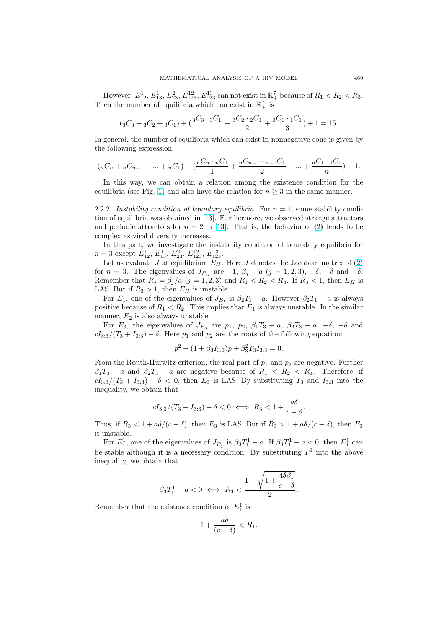However,  $E_{12}^1, E_{13}^1, E_{23}^2, E_{123}^{12}, E_{123}^{13}$  can not exist in  $\mathbb{R}_+^7$  because of  $R_1 < R_2 < R_3$ . Then the number of equilibria which can exist in  $\mathbb{R}^7_+$  is

$$
(3C_3 + 3C_2 + 3C_1) + \left(\frac{3C_3 \cdot 3C_1}{1} + \frac{3C_2 \cdot 2C_1}{2} + \frac{3C_1 \cdot 1C_1}{3}\right) + 1 = 15.
$$

In general, the number of equilibria which can exist in nonnegative cone is given by the following expression:

$$
(nC_n + nC_{n-1} + \dots + nC_1) + \left(\frac{nC_n \cdot nC_1}{1} + \frac{nC_{n-1} \cdot nC_1}{2} + \dots + \frac{nC_1 \cdot 1C_1}{n}\right) + 1.
$$

In this way, we can obtain a relation among the existence condition for the equilibria (see Fig. [1\)](#page-11-0) and also have the relation for  $n \geq 3$  in the same manner.

2.2.2. Instability condition of boundary equilibria. For  $n = 1$ , some stability condition of equilibria was obtained in [\[13\]](#page-18-0). Furthermore, we observed strange attractors and periodic attractors for  $n = 2$  in [\[13\]](#page-18-0). That is, the behavior of [\(2\)](#page-1-0) tends to be complex as viral diversity increases.

In this part, we investigate the instability condition of boundary equilibria for  $n=3$  except  $E_{12}^1$ ,  $E_{13}^1$ ,  $E_{23}^2$ ,  $E_{123}^{12}$ ,  $E_{123}^{13}$ .

Let us evaluate J at equilibrium  $E_H$ . Here J denotes the Jacobian matrix of [\(2\)](#page-1-0) for  $n = 3$ . The eigenvalues of  $J_{E_H}$  are  $-1$ ,  $\beta_j - a$  (j = 1, 2, 3),  $-\delta$ ,  $-\delta$  and  $-\delta$ . Remember that  $R_j = \beta_j/a$  (j = 1, 2, 3) and  $R_1 < R_2 < R_3$ . If  $R_3 < 1$ , then  $E_H$  is LAS. But if  $R_3 > 1$ , then  $E_H$  is unstable.

For  $E_1$ , one of the eigenvalues of  $J_{E_1}$  is  $\beta_2 T_1 - a$ . However  $\beta_2 T_1 - a$  is always positive because of  $R_1 < R_2$ . This implies that  $E_1$  is always unstable. In the similar manner,  $E_2$  is also always unstable.

For  $E_3$ , the eigenvalues of  $J_{E_3}$  are  $p_1$ ,  $p_2$ ,  $\beta_1 T_3 - a$ ,  $\beta_2 T_3 - a$ ,  $-\delta$ ,  $-\delta$  and  $cI_{3:3}/(T_3 + I_{3:3}) - \delta$ . Here  $p_1$  and  $p_2$  are the roots of the following equation:

$$
p^2 + (1 + \beta_3 I_{3:3})p + \beta_3^2 T_3 I_{3:3} = 0.
$$

From the Routh-Hurwitz criterion, the real part of  $p_1$  and  $p_2$  are negative. Further  $\beta_1 T_3 - a$  and  $\beta_2 T_3 - a$  are negative because of  $R_1 \langle R_2 \rangle R_3$ . Therefore, if  $cI_{3:3}/(T_3 + I_{3:3}) - \delta < 0$ , then  $E_3$  is LAS. By substituting  $T_3$  and  $I_{3:3}$  into the inequality, we obtain that

$$
cI_{3:3}/(T_3+I_{3:3})-\delta<0 \iff R_3<1+\frac{a\delta}{c-\delta}.
$$

Thus, if  $R_3 < 1 + a\delta/(c - \delta)$ , then  $E_3$  is LAS. But if  $R_3 > 1 + a\delta/(c - \delta)$ , then  $E_3$ is unstable.

For  $E_1^1$ , one of the eigenvalues of  $J_{E_1^1}$  is  $\beta_3 T_1^1 - a$ . If  $\beta_3 T_1^1 - a < 0$ , then  $E_1^1$  can be stable although it is a necessary condition. By substituting  $T_1^1$  into the above inequality, we obtain that

$$
\beta_3 T_1^1 - a < 0 \iff R_3 < \frac{1 + \sqrt{1 + \frac{4 \delta \beta_1}{c - \delta}}}{2}.
$$

Remember that the existence condition of  $E_1^1$  is

$$
1 + \frac{a\delta}{(c - \delta)} < R_1.
$$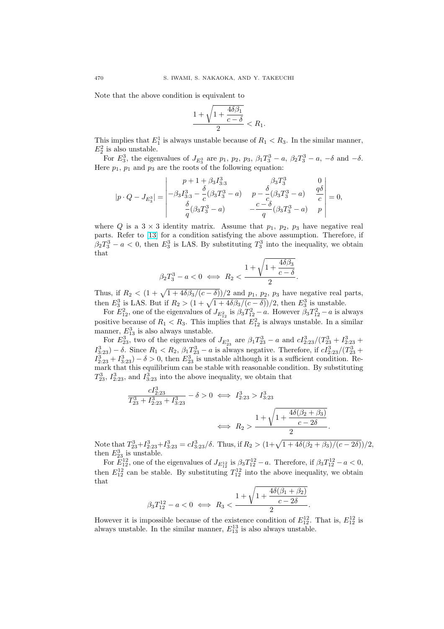Note that the above condition is equivalent to

$$
\frac{1+\sqrt{1+\frac{4\delta\beta_1}{c-\delta}}}{2} < R_1.
$$

This implies that  $E_1^1$  is always unstable because of  $R_1 < R_3$ . In the similar manner,  $E_2^2$  is also unstable.

For  $E_3^3$ , the eigenvalues of  $J_{E_3^3}$  are  $p_1$ ,  $p_2$ ,  $p_3$ ,  $\beta_1 T_3^3 - a$ ,  $\beta_2 T_3^3 - a$ ,  $-\delta$  and  $-\delta$ . Here  $p_1$ ,  $p_1$  and  $p_3$  are the roots of the following equation:

$$
|p\cdot Q - J_{E_3^3}| = \begin{vmatrix} p+1+\beta_3 I_{3:3}^3 & \beta_3 T_3^3 & 0 \\ -\beta_3 I_{3:3}^3 - \frac{\delta}{c}(\beta_3 T_3^3 - a) & p - \frac{\delta}{c}(\beta_3 T_3^3 - a) & \frac{q\delta}{c} \\ \frac{\delta}{q}(\beta_3 T_3^3 - a) & -\frac{c-\delta}{q}(\beta_3 T_3^3 - a) & p \end{vmatrix} = 0,
$$

where Q is a  $3 \times 3$  identity matrix. Assume that  $p_1$ ,  $p_2$ ,  $p_3$  have negative real parts. Refer to [\[13\]](#page-18-0) for a condition satisfying the above assumption. Therefore, if  $\beta_2 T_3^3 - a < 0$ , then  $E_3^3$  is LAS. By substituting  $T_3^3$  into the inequality, we obtain that

$$
\beta_2 T_3^3 - a < 0 \iff R_2 < \frac{1 + \sqrt{1 + \frac{4\delta\beta_3}{c - \delta}}}{2}.
$$

Thus, if  $R_2 < (1 + \sqrt{1 + 4\delta\beta_3/(c - \delta)})/2$  and  $p_1$ ,  $p_2$ ,  $p_3$  have negative real parts, then  $E_3^3$  is LAS. But if  $R_2 > (1 + \sqrt{1 + 4\delta/3})(c - \delta)/2$ , then  $E_3^3$  is unstable.

For  $E_{12}^2$ , one of the eigenvalues of  $J_{E_{12}^2}$  is  $\beta_3 T_{12}^2 - a$ . However  $\beta_3 T_{12}^2 - a$  is always positive because of  $R_1 < R_3$ . This implies that  $E_{12}^2$  is always unstable. In a similar manner,  $E_{13}^3$  is also always unstable.

For  $E_{23}^3$ , two of the eigenvalues of  $J_{E_{23}^3}$  are  $\beta_1 T_{23}^3 - a$  and  $cI_{2:23}^3/(T_{23}^3 + I_{2:23}^3 +$  $I_{3:23}^3$ ) –  $\delta$ . Since  $R_1 < R_2$ ,  $\beta_1 T_{23}^3$  – a is always negative. Therefore, if  $cI_{2:23}^3/(T_{23}^3 +$  $I_{2:23}^3 + I_{3:23}^3 - \delta > 0$ , then  $E_{23}^3$  is unstable although it is a sufficient condition. Remark that this equilibrium can be stable with reasonable condition. By substituting  $T_{23}^3$ ,  $I_{2:23}^3$ , and  $I_{3:23}^3$  into the above inequality, we obtain that

$$
\frac{cI_{2:23}^3}{T_{23}^3 + I_{2:23}^3 + I_{3:23}^3} - \delta > 0 \iff I_{2:23}^3 > I_{3:23}^3
$$
  

$$
\iff R_2 > \frac{1 + \sqrt{1 + \frac{4\delta(\beta_2 + \beta_3)}{c - 2\delta}}}{2}.
$$

Note that  $T_{23}^3+T_{2:23}^3+T_{3:23}^3=cI_{3:23}^3/\delta$ . Thus, if  $R_2>(1+\sqrt{1+4\delta(\beta_2+\beta_3)/(c-2\delta)})/2$ , then  $E_{23}^3$  is unstable.

For  $E_{12}^{12}$ , one of the eigenvalues of  $J_{E_{12}^{12}}$  is  $\beta_3 T_{12}^{12} - a$ . Therefore, if  $\beta_3 T_{12}^{12} - a < 0$ , then  $E_{12}^{12}$  can be stable. By substituting  $T_{12}^{12}$  into the above inequality, we obtain that

$$
\beta_3 T_{12}^{12} - a < 0 \iff R_3 < \frac{1 + \sqrt{1 + \frac{4\delta(\beta_1 + \beta_2)}{c - 2\delta}}}{2}.
$$

However it is impossible because of the existence condition of  $E_{12}^{12}$ . That is,  $E_{12}^{12}$  is always unstable. In the similar manner,  $E_{13}^{13}$  is also always unstable.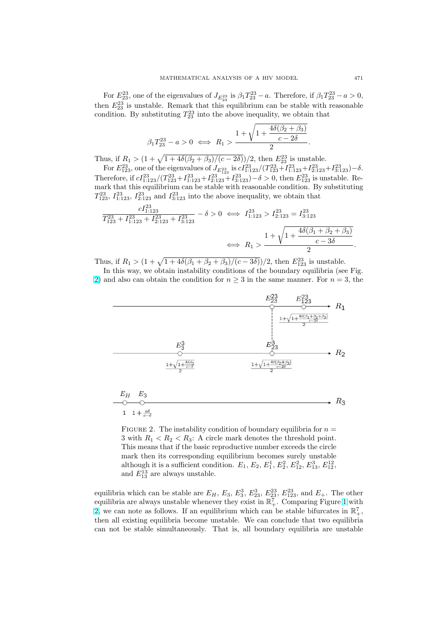For  $E_{23}^{23}$ , one of the eigenvalues of  $J_{E_{23}^{23}}$  is  $\beta_1 T_{23}^{23} - a$ . Therefore, if  $\beta_1 T_{23}^{23} - a > 0$ , then  $E_{23}^{23}$  is unstable. Remark that this equilibrium can be stable with reasonable condition. By substituting  $T_{23}^{23}$  into the above inequality, we obtain that

$$
\beta_1 T_{23}^{23} - a > 0 \iff R_1 > \frac{1 + \sqrt{1 + \frac{4\delta(\beta_2 + \beta_3)}{c - 2\delta}}}{2}.
$$

Thus, if  $R_1 > (1 + \sqrt{1 + 4\delta(\beta_2 + \beta_3)/(c - 2\delta)})/2$ , then  $E_{23}^{23}$  is unstable.

For  $E_{123}^{23}$ , one of the eigenvalues of  $J_{E_{123}^{23}}$  is  $cI_{1:123}^{23}/(T_{123}^{23}+T_{1:123}^{23}+T_{2:123}^{23}+T_{3:123}^{23})-\delta$ . Therefore, if  $cI_{1:123}^{23}/(T_{123}^{23}+I_{1:123}^{23}+I_{2:123}^{23}+I_{3:123}^{23})-\delta>0$ , then  $E_{123}^{23}$  is unstable. Remark that this equilibrium can be stable with reasonable condition. By substituting  $T_{123}^{23}$ ,  $I_{1:123}^{23}$ ,  $I_{2:123}^{23}$  and  $I_{3:123}^{23}$  into the above inequality, we obtain that

$$
\frac{cI_{1:123}^{23}}{T_{123}^{23} + I_{1:123}^{23} + I_{2:123}^{23} + I_{3:123}^{23}} - \delta > 0 \iff I_{1:123}^{23} > I_{2:123}^{23} = I_{3:123}^{23}
$$

$$
\iff R_1 > \frac{1 + \sqrt{1 + \frac{4\delta(\beta_1 + \beta_2 + \beta_3)}{c - 3\delta}}}{2}.
$$

Thus, if  $R_1 > (1 + \sqrt{1 + 4\delta(\beta_1 + \beta_2 + \beta_3)/(c - 3\delta)})/2$ , then  $E_{123}^{23}$  is unstable.

In this way, we obtain instability conditions of the boundary equilibria (see Fig. 2) and also can obtain the condition for  $n \geq 3$  in the same manner. For  $n = 3$ , the



FIGURE 2. The instability condition of boundary equilibria for  $n =$ 3 with  $R_1 < R_2 < R_3$ : A circle mark denotes the threshold point. This means that if the basic reproductive number exceeds the circle mark then its corresponding equilibrium becomes surely unstable although it is a sufficient condition.  $E_1, E_2, E_1^1, E_2^2, E_{12}^2, E_{13}^3, E_{12}^{12}$ , and  $E_{13}^{13}$  are always unstable.

equilibria which can be stable are  $E_H$ ,  $E_3$ ,  $E_3^3$ ,  $E_{23}^3$ ,  $E_{23}^{23}$ ,  $E_{123}^{23}$ , and  $E_+$ . The other equilibria are always unstable whenever they exist in  $\mathbb{R}^7_+$ . Comparing Figure [1](#page-11-0) with 2, we can note as follows. If an equilibrium which can be stable bifurcates in  $\mathbb{R}^7_+$ , then all existing equilibria become unstable. We can conclude that two equilibria can not be stable simultaneously. That is, all boundary equilibria are unstable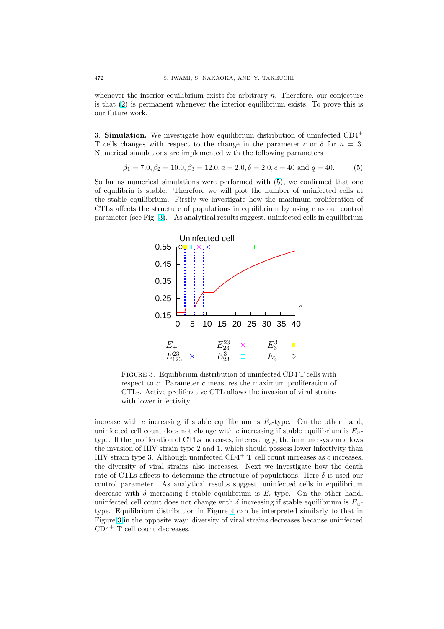<span id="page-15-0"></span>whenever the interior equilibrium exists for arbitrary  $n$ . Therefore, our conjecture is that [\(2\)](#page-1-0) is permanent whenever the interior equilibrium exists. To prove this is our future work.

3. **Simulation.** We investigate how equilibrium distribution of uninfected  $CD4^+$ T cells changes with respect to the change in the parameter c or  $\delta$  for  $n = 3$ . Numerical simulations are implemented with the following parameters

$$
\beta_1 = 7.0, \beta_2 = 10.0, \beta_3 = 12.0, a = 2.0, \delta = 2.0, c = 40 \text{ and } q = 40. \tag{5}
$$

So far as numerical simulations were performed with (5), we confirmed that one of equilibria is stable. Therefore we will plot the number of uninfected cells at the stable equilibrium. Firstly we investigate how the maximum proliferation of CTLs affects the structure of populations in equilibrium by using  $c$  as our control parameter (see Fig. 3). As analytical results suggest, uninfected cells in equilibrium



FIGURE 3. Equilibrium distribution of uninfected CD4 T cells with respect to c. Parameter c measures the maximum proliferation of CTLs. Active proliferative CTL allows the invasion of viral strains with lower infectivity.

increase with c increasing if stable equilibrium is  $E_c$ -type. On the other hand, uninfected cell count does not change with c increasing if stable equilibrium is  $E_u$ type. If the proliferation of CTLs increases, interestingly, the immune system allows the invasion of HIV strain type 2 and 1, which should possess lower infectivity than HIV strain type 3. Although uninfected  $CD4^+$  T cell count increases as c increases, the diversity of viral strains also increases. Next we investigate how the death rate of CTLs affects to determine the structure of populations. Here  $\delta$  is used our control parameter. As analytical results suggest, uninfected cells in equilibrium decrease with  $\delta$  increasing f stable equilibrium is  $E_c$ -type. On the other hand, uninfected cell count does not change with  $\delta$  increasing if stable equilibrium is  $E_u$ type. Equilibrium distribution in Figure [4](#page-16-0) can be interpreted similarly to that in Figure 3 in the opposite way: diversity of viral strains decreases because uninfected  $CD4<sup>+</sup>$  T cell count decreases.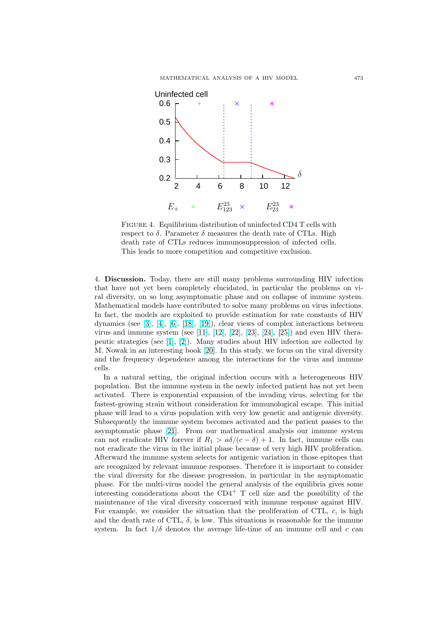<span id="page-16-0"></span>

FIGURE 4. Equilibrium distribution of uninfected CD4 T cells with respect to  $\delta$ . Parameter  $\delta$  measures the death rate of CTLs. High death rate of CTLs reduces immunosuppression of infected cells. This leads to more competition and competitive exclusion.

4. Discussion. Today, there are still many problems surrounding HIV infection that have not yet been completely elucidated, in particular the problems on viral diversity, on so long asymptomatic phase and on collapse of immune system. Mathematical models have contributed to solve many problems on virus infections. In fact, the models are exploited to provide estimation for rate constants of HIV dynamics (see [\[3\]](#page-18-0), [\[4\]](#page-18-0), [\[6\]](#page-18-0), [\[18\]](#page-18-0), [\[19\]](#page-18-0)), clear views of complex interactions between virus and immune system (see [\[11\]](#page-18-0), [\[12\]](#page-18-0), [\[22\]](#page-18-0), [\[23\]](#page-18-0), [\[24\]](#page-18-0), [\[25\]](#page-18-0)) and even HIV therapeutic strategies (see [\[1\]](#page-18-0), [\[2\]](#page-18-0)). Many studies about HIV infection are collected by M. Nowak in an interesting book [\[20\]](#page-18-0). In this study, we focus on the viral diversity and the frequency dependence among the interactions for the virus and immune cells.

In a natural setting, the original infection occurs with a heterogeneous HIV population. But the immune system in the newly infected patient has not yet been activated. There is exponential expansion of the invading virus, selecting for the fastest-growing strain without consideration for immunological escape. This initial phase will lead to a virus population with very low genetic and antigenic diversity. Subsequently the immune system becomes activated and the patient passes to the asymptomatic phase [\[21\]](#page-18-0). From our mathematical analysis our immune system can not eradicate HIV forever if  $R_1 > a\delta/(c - \delta) + 1$ . In fact, immune cells can not eradicate the virus in the initial phase because of very high HIV proliferation. Afterward the immune system selects for antigenic variation in those epitopes that are recognized by relevant immune responses. Therefore it is important to consider the viral diversity for the disease progression, in particular in the asymptomatic phase. For the multi-virus model the general analysis of the equilibria gives some interesting considerations about the  $CD4^+$  T cell size and the possibility of the maintenance of the viral diversity concerned with immune response against HIV. For example, we consider the situation that the proliferation of CTL,  $c$ , is high and the death rate of CTL,  $\delta$ , is low. This situations is reasonable for the immune system. In fact  $1/\delta$  denotes the average life-time of an immune cell and c can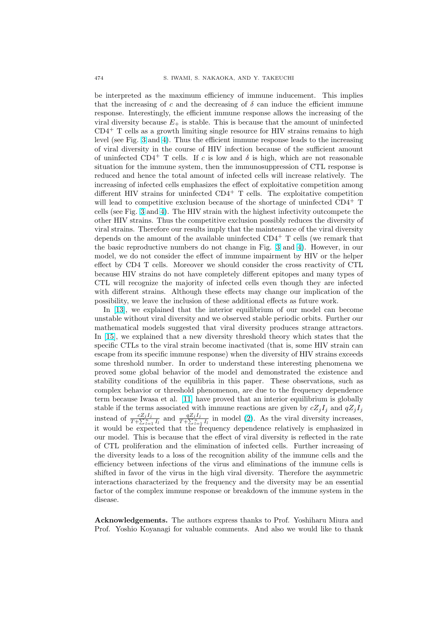be interpreted as the maximum efficiency of immune inducement. This implies that the increasing of c and the decreasing of  $\delta$  can induce the efficient immune response. Interestingly, the efficient immune response allows the increasing of the viral diversity because  $E_{+}$  is stable. This is because that the amount of uninfected  $CD4<sup>+</sup>$  T cells as a growth limiting single resource for HIV strains remains to high level (see Fig. [3](#page-15-0) and [4\)](#page-16-0). Thus the efficient immune response leads to the increasing of viral diversity in the course of HIV infection because of the sufficient amount of uninfected CD4<sup>+</sup> T cells. If c is low and  $\delta$  is high, which are not reasonable situation for the immune system, then the immunosuppression of CTL response is reduced and hence the total amount of infected cells will increase relatively. The increasing of infected cells emphasizes the effect of exploitative competition among different HIV strains for uninfected  $CD4^+$  T cells. The exploitative competition will lead to competitive exclusion because of the shortage of uninfected  $CD4^+$  T cells (see Fig. [3](#page-15-0) and [4\)](#page-16-0). The HIV strain with the highest infectivity outcompete the other HIV strains. Thus the competitive exclusion possibly reduces the diversity of viral strains. Therefore our results imply that the maintenance of the viral diversity depends on the amount of the available uninfected  $CD4^+$  T cells (we remark that the basic reproductive numbers do not change in Fig. [3](#page-15-0) and [4\)](#page-16-0). However, in our model, we do not consider the effect of immune impairment by HIV or the helper effect by CD4 T cells. Moreover we should consider the cross reactivity of CTL because HIV strains do not have completely different epitopes and many types of CTL will recognize the majority of infected cells even though they are infected with different strains. Although these effects may change our implication of the possibility, we leave the inclusion of these additional effects as future work.

In [\[13\]](#page-18-0), we explained that the interior equilibrium of our model can become unstable without viral diversity and we observed stable periodic orbits. Further our mathematical models suggested that viral diversity produces strange attractors. In [\[15\]](#page-18-0), we explained that a new diversity threshold theory which states that the specific CTLs to the viral strain become inactivated (that is, some HIV strain can escape from its specific immune response) when the diversity of HIV strains exceeds some threshold number. In order to understand these interesting phenomena we proved some global behavior of the model and demonstrated the existence and stability conditions of the equilibria in this paper. These observations, such as complex behavior or threshold phenomenon, are due to the frequency dependence term because Iwasa et al. [\[11\]](#page-18-0) have proved that an interior equilibrium is globally stable if the terms associated with immune reactions are given by  $cZ_jI_j$  and  $qZ_jI_j$ instead of  $\frac{cZ_jI_j}{T+\sum_{l=1}^nI_l}$  and  $\frac{qZ_jI_j}{T+\sum_{l=1}^nI_l}$  in model [\(2\)](#page-1-0). As the viral diversity increases, it would be expected that the frequency dependence relatively is emphasized in our model. This is because that the effect of viral diversity is reflected in the rate of CTL proliferation and the elimination of infected cells. Further increasing of the diversity leads to a loss of the recognition ability of the immune cells and the efficiency between infections of the virus and eliminations of the immune cells is shifted in favor of the virus in the high viral diversity. Therefore the asymmetric interactions characterized by the frequency and the diversity may be an essential factor of the complex immune response or breakdown of the immune system in the disease.

Acknowledgements. The authors express thanks to Prof. Yoshiharu Miura and Prof. Yoshio Koyanagi for valuable comments. And also we would like to thank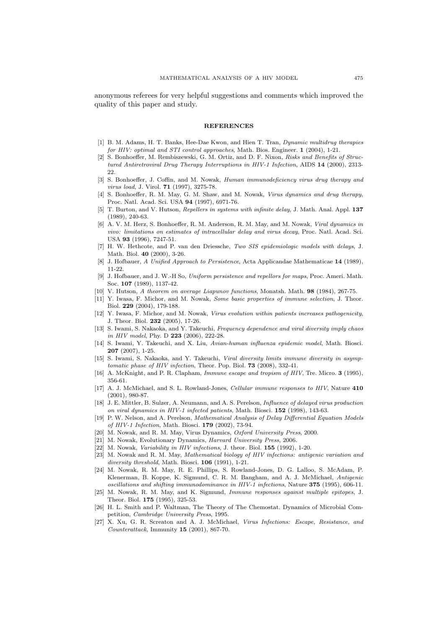<span id="page-18-0"></span>anonymous referees for very helpful suggestions and comments which improved the quality of this paper and study.

### **REFERENCES**

- [1] B. M. Adams, H. T. Banks, Hee-Dae Kwon, and Hien T. Tran, Dynamic multidrug therapies for HIV: optimal and STI control approaches, Math. Bios. Engineer. 1 (2004), 1-21.
- [2] S. Bonhoeffer, M. Rembiszewski, G. M. Ortiz, and D. F. Nixon, Risks and Benefits of Structured Antiretroviral Drug Therapy Interruptions in HIV-1 Infection, AIDS 14 (2000), 2313- 22.
- [3] S. Bonhoeffer, J. Coffin, and M. Nowak, *Human immunodeficiency virus drug therapy and* virus load, J. Virol. 71 (1997), 3275-78.
- [4] S. Bonhoeffer, R. M. May, G. M. Shaw, and M. Nowak, Virus dynamics and drug therapy, Proc. Natl. Acad. Sci. USA 94 (1997), 6971-76.
- [5] T. Burton, and V. Hutson, Repellers in systems with infinite delay, J. Math. Anal. Appl. 137 (1989), 240-63.
- [6] A. V. M. Herz, S. Bonhoeffer, R. M. Anderson, R. M. May, and M. Nowak, Viral dynamics in vivo: limitations on estimates of intracellular delay and virus decay, Proc. Natl. Acad. Sci. USA 93 (1996), 7247-51.
- [7] H. W. Hethcote, and P. van den Driessche, Two SIS epidemiologic models with delays, J. Math. Biol. 40 (2000), 3-26.
- [8] J. Hofbauer, A Unified Approach to Persistence, Acta Applicandae Mathematicae 14 (1989), 11-22.
- [9] J. Hofbauer, and J. W.-H So, Uniform persistence and repellors for maps, Proc. Ameri. Math. Soc. 107 (1989), 1137-42.
- [10] V. Hutson, A theorem on average Liapunov functions, Monatsh. Math. **98** (1984), 267-75.
- [11] Y. Iwasa, F. Michor, and M. Nowak, Some basic properties of immune selection, J. Theor. Biol. 229 (2004), 179-188.
- [12] Y. Iwasa, F. Michor, and M. Nowak, Virus evolution within patients increases pathogenicity, J. Theor. Biol. 232 (2005), 17-26.
- [13] S. Iwami, S. Nakaoka, and Y. Takeuchi, *Frequency dependence and viral diversity imply chaos* in HIV model, Phy. D 223 (2006), 222-28.
- [14] S. Iwami, Y. Takeuchi, and X. Liu, Avian-human influenza epidemic model, Math. Biosci. 207 (2007), 1-25.
- [15] S. Iwami, S. Nakaoka, and Y. Takeuchi, Viral diversity limits immune diversity in asymptomatic phase of HIV infection, Theor. Pop. Biol. 73 (2008), 332-41.
- [16] A. McKnight, and P. R. Clapham, *Immune escape and tropism of HIV*, Tre. Micro. **3** (1995), 356-61.
- [17] A. J. McMichael, and S. L. Rowland-Jones, *Cellular immune responses to HIV*, Nature 410 (2001), 980-87.
- [18] J. E. Mittler, B. Sulzer, A. Neumann, and A. S. Perelson, Influence of delayed virus production on viral dynamics in HIV-1 infected patients, Math. Biosci. 152 (1998), 143-63.
- [19] P. W. Nelson, and A. Perelson, Mathematical Analysis of Delay Differential Equation Models of HIV-1 Infection, Math. Biosci. 179 (2002), 73-94.
- [20] M. Nowak, and R. M. May, Virus Dynamics, Oxford University Press, 2000.
- [21] M. Nowak, Evolutionary Dynamics, Harvard University Press, 2006.
- [22] M. Nowak, Variability in HIV infections, J. theor. Biol. 155 (1992), 1-20.
- [23] M. Nowak and R. M. May, Mathematical biology of HIV infections: antigenic variation and diversity threshold, Math. Biosci. **106** (1991), 1-21.
- [24] M. Nowak, R. M. May, R. E. Phillips, S. Rowland-Jones, D. G. Lalloo, S. McAdam, P. Klenerman, B. Koppe, K. Sigmund, C. R. M. Bangham, and A. J. McMichael, Antigenic oscillations and shifting immunodominance in HIV-1 infections, Nature 375 (1995), 606-11.
- [25] M. Nowak, R. M. May, and K. Sigmund, Immune responses against multiple epitopes, J. Theor. Biol. 175 (1995), 325-53.
- [26] H. L. Smith and P. Waltman, The Theory of The Chemostat. Dynamics of Microbial Competition, Cambridge University Press, 1995.
- [27] X. Xu, G. R. Screaton and A. J. McMichael, Virus Infections: Escape, Resistance, and Counterattack, Immunity 15 (2001), 867-70.